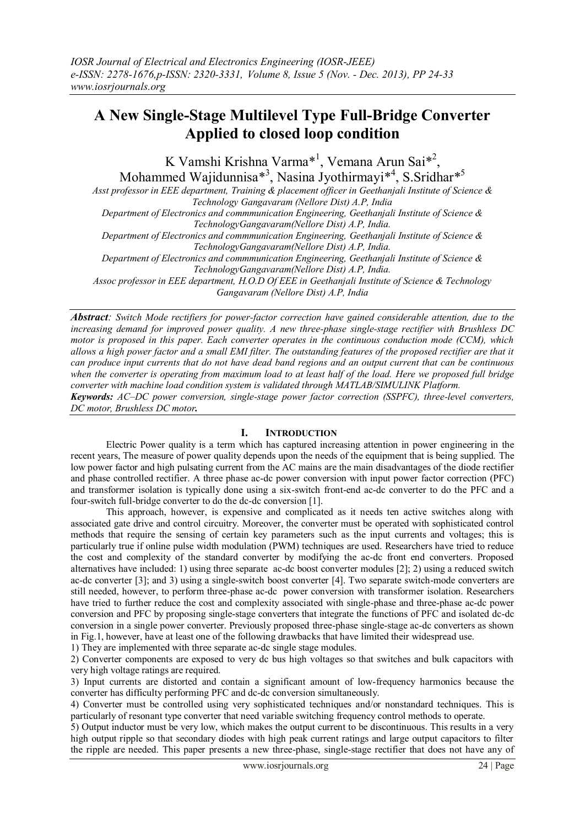# **A New Single-Stage Multilevel Type Full-Bridge Converter Applied to closed loop condition**

K Vamshi Krishna Varma<sup>\*1</sup>, Vemana Arun Sai<sup>\*2</sup>,

Mohammed Wajidunnisa\*<sup>3</sup>, Nasina Jyothirmayi\*<sup>4</sup>, S.Sridhar\*<sup>5</sup>

*Asst professor in EEE department, Training & placement officer in Geethanjali Institute of Science & Technology Gangavaram (Nellore Dist) A.P, India*

*Department of Electronics and commmunication Engineering, Geethanjali Institute of Science & TechnologyGangavaram(Nellore Dist) A.P, India.*

*Department of Electronics and commmunication Engineering, Geethanjali Institute of Science &* 

*TechnologyGangavaram(Nellore Dist) A.P, India.*

*Department of Electronics and commmunication Engineering, Geethanjali Institute of Science &* 

*TechnologyGangavaram(Nellore Dist) A.P, India.*

*Assoc professor in EEE department, H.O.D Of EEE in Geethanjali Institute of Science & Technology*

*Gangavaram (Nellore Dist) A.P, India*

*Abstract: Switch Mode rectifiers for power-factor correction have gained considerable attention, due to the increasing demand for improved power quality. A new three-phase single-stage rectifier with Brushless DC motor is proposed in this paper. Each converter operates in the continuous conduction mode (CCM), which*  allows a high power factor and a small EMI filter. The outstanding features of the proposed rectifier are that it *can produce input currents that do not have dead band regions and an output current that can be continuous when the converter is operating from maximum load to at least half of the load. Here we proposed full bridge converter with machine load condition system is validated through MATLAB/SIMULINK Platform. Keywords: AC–DC power conversion, single-stage power factor correction (SSPFC), three-level converters, DC motor, Brushless DC motor.*

# **I. INTRODUCTION**

Electric Power quality is a term which has captured increasing attention in power engineering in the recent years, The measure of power quality depends upon the needs of the equipment that is being supplied. The low power factor and high pulsating current from the AC mains are the main disadvantages of the diode rectifier and phase controlled rectifier. A three phase ac-dc power conversion with input power factor correction (PFC) and transformer isolation is typically done using a six-switch front-end ac-dc converter to do the PFC and a four-switch full-bridge converter to do the dc-dc conversion [1].

This approach, however, is expensive and complicated as it needs ten active switches along with associated gate drive and control circuitry. Moreover, the converter must be operated with sophisticated control methods that require the sensing of certain key parameters such as the input currents and voltages; this is particularly true if online pulse width modulation (PWM) techniques are used. Researchers have tried to reduce the cost and complexity of the standard converter by modifying the ac-dc front end converters. Proposed alternatives have included: 1) using three separate ac-dc boost converter modules [2]; 2) using a reduced switch ac-dc converter [3]; and 3) using a single-switch boost converter [4]. Two separate switch-mode converters are still needed, however, to perform three-phase ac-dc power conversion with transformer isolation. Researchers have tried to further reduce the cost and complexity associated with single-phase and three-phase ac-dc power conversion and PFC by proposing single-stage converters that integrate the functions of PFC and isolated dc-dc conversion in a single power converter. Previously proposed three-phase single-stage ac-dc converters as shown in Fig.1, however, have at least one of the following drawbacks that have limited their widespread use.

1) They are implemented with three separate ac-dc single stage modules.

2) Converter components are exposed to very dc bus high voltages so that switches and bulk capacitors with very high voltage ratings are required.

3) Input currents are distorted and contain a significant amount of low-frequency harmonics because the converter has difficulty performing PFC and dc-dc conversion simultaneously.

4) Converter must be controlled using very sophisticated techniques and/or nonstandard techniques. This is particularly of resonant type converter that need variable switching frequency control methods to operate.

5) Output inductor must be very low, which makes the output current to be discontinuous. This results in a very high output ripple so that secondary diodes with high peak current ratings and large output capacitors to filter the ripple are needed. This paper presents a new three-phase, single-stage rectifier that does not have any of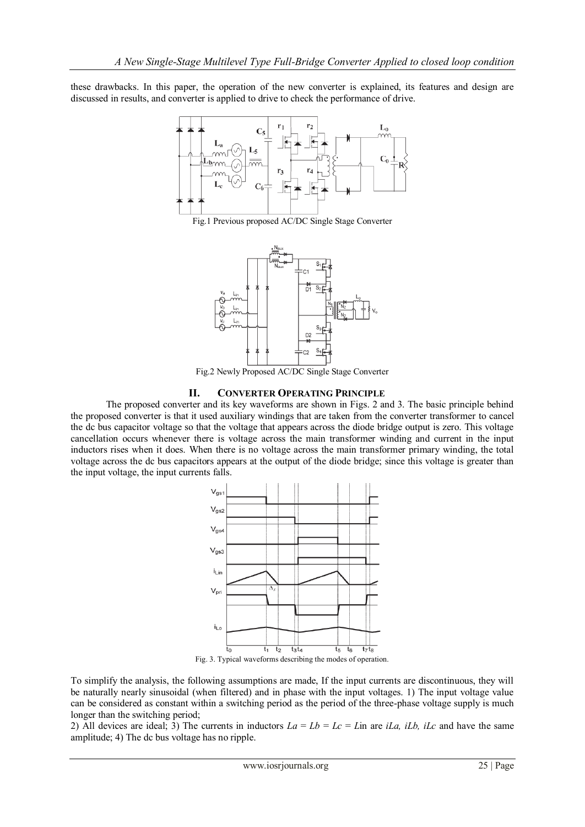these drawbacks. In this paper, the operation of the new converter is explained, its features and design are discussed in results, and converter is applied to drive to check the performance of drive.







Fig.2 Newly Proposed AC/DC Single Stage Converter

## **II. CONVERTER OPERATING PRINCIPLE**

The proposed converter and its key waveforms are shown in Figs. 2 and 3. The basic principle behind the proposed converter is that it used auxiliary windings that are taken from the converter transformer to cancel the dc bus capacitor voltage so that the voltage that appears across the diode bridge output is zero. This voltage cancellation occurs whenever there is voltage across the main transformer winding and current in the input inductors rises when it does. When there is no voltage across the main transformer primary winding, the total voltage across the dc bus capacitors appears at the output of the diode bridge; since this voltage is greater than the input voltage, the input currents falls.



Fig. 3. Typical waveforms describing the modes of operation.

To simplify the analysis, the following assumptions are made, If the input currents are discontinuous, they will be naturally nearly sinusoidal (when filtered) and in phase with the input voltages. 1) The input voltage value can be considered as constant within a switching period as the period of the three-phase voltage supply is much longer than the switching period;

2) All devices are ideal; 3) The currents in inductors  $La = Lb = Lc = L$  in are *iLa, iLb, iLc* and have the same amplitude; 4) The dc bus voltage has no ripple.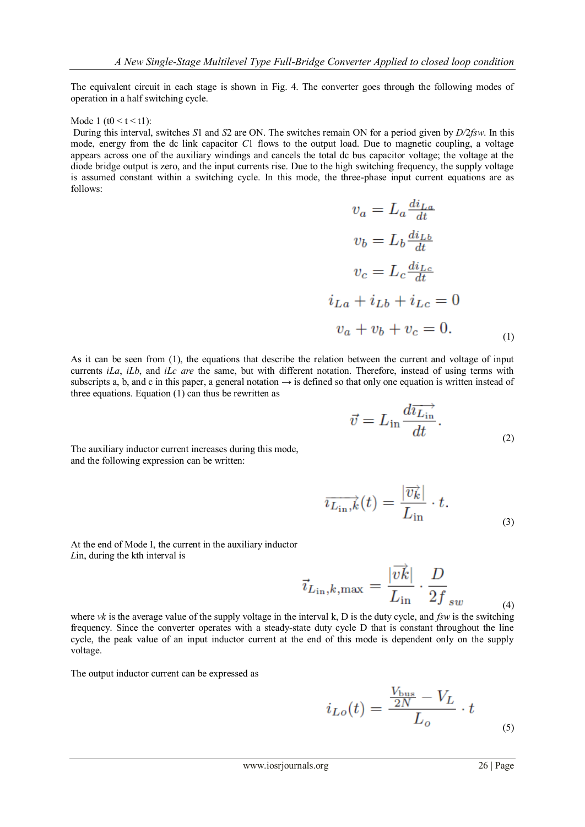The equivalent circuit in each stage is shown in Fig. 4. The converter goes through the following modes of operation in a half switching cycle.

#### Mode 1 (t0 < t < t1):

During this interval, switches *S*1 and *S*2 are ON. The switches remain ON for a period given by *D/*2*fsw*. In this mode, energy from the dc link capacitor *C*1 flows to the output load. Due to magnetic coupling, a voltage appears across one of the auxiliary windings and cancels the total dc bus capacitor voltage; the voltage at the diode bridge output is zero, and the input currents rise. Due to the high switching frequency, the supply voltage is assumed constant within a switching cycle. In this mode, the three-phase input current equations are as follows:

$$
v_a = L_a \frac{di_{La}}{dt}
$$
  
\n
$$
v_b = L_b \frac{di_{Lb}}{dt}
$$
  
\n
$$
v_c = L_c \frac{di_{Lc}}{dt}
$$
  
\n
$$
i_{La} + i_{Lb} + i_{Lc} = 0
$$
  
\n
$$
v_a + v_b + v_c = 0.
$$
 (1)

As it can be seen from (1), the equations that describe the relation between the current and voltage of input currents *iLa*, *iLb*, and *iLc are* the same, but with different notation. Therefore, instead of using terms with subscripts a, b, and c in this paper, a general notation *→* is defined so that only one equation is written instead of three equations. Equation  $(1)$  can thus be rewritten as

$$
\vec{v} = L_{\rm in} \frac{d\vec{u}_{L_{\rm in}}}{dt}.
$$
\n(2)

The auxiliary inductor current increases during this mode, and the following expression can be written:

$$
\overrightarrow{i_{L_{\text{in}}},k}(t) = \frac{|\overrightarrow{v_k}|}{L_{\text{in}}} \cdot t.
$$
\n(3)

At the end of Mode I, the current in the auxiliary inductor *L*in, during the kth interval is

$$
\vec{\imath}_{L_{\text{in}},k,\text{max}} = \frac{|\overrightarrow{vk}|}{L_{\text{in}}} \cdot \frac{D}{2f}_{sw} \qquad (4)
$$

where *vk* is the average value of the supply voltage in the interval k, D is the duty cycle, and *fsw* is the switching frequency. Since the converter operates with a steady-state duty cycle D that is constant throughout the line cycle, the peak value of an input inductor current at the end of this mode is dependent only on the supply voltage.

The output inductor current can be expressed as

$$
i_{Lo}(t) = \frac{\frac{V_{\text{bus}}}{2N} - V_L}{L_o} \cdot t \tag{5}
$$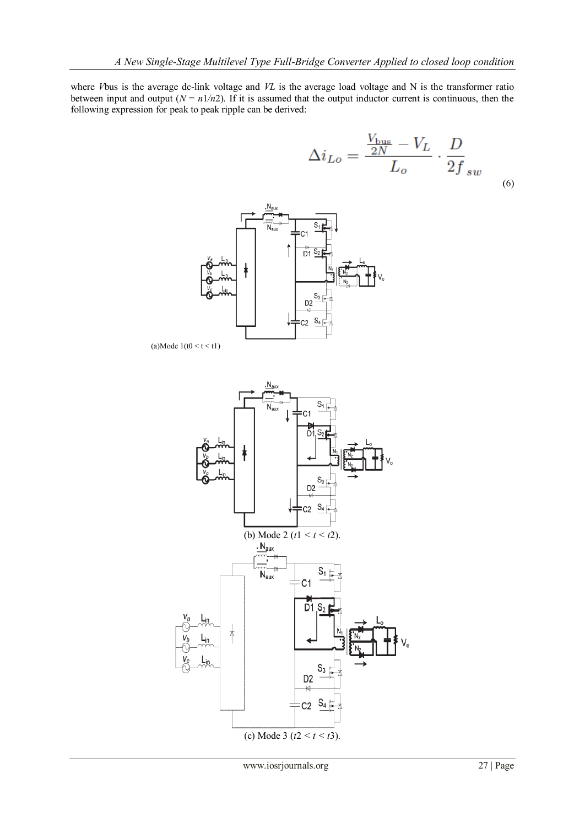where *V*bus is the average dc-link voltage and *VL* is the average load voltage and N is the transformer ratio between input and output  $(N = n1/n2)$ . If it is assumed that the output inductor current is continuous, then the following expression for peak to peak ripple can be derived:



(a)Mode  $1(t0 < t < t1)$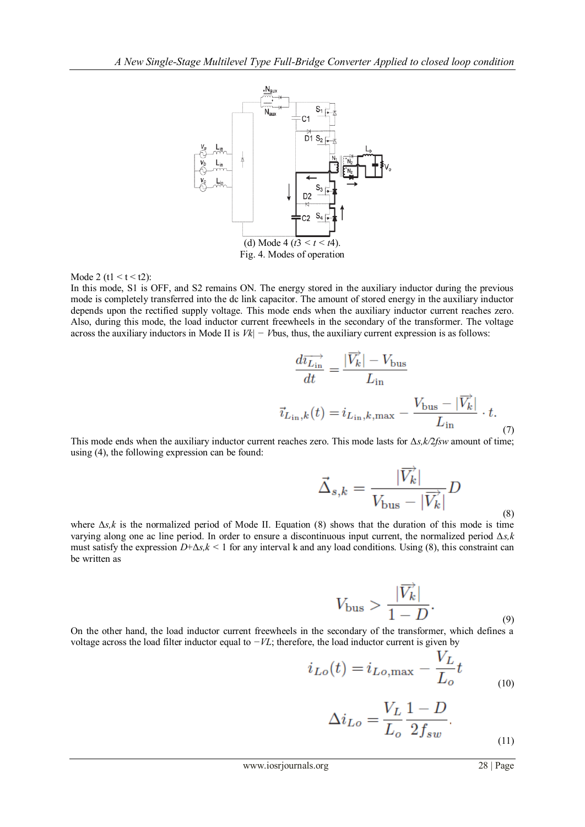

#### Mode 2 (t1 < t < t2):

In this mode, S1 is OFF, and S2 remains ON. The energy stored in the auxiliary inductor during the previous mode is completely transferred into the dc link capacitor. The amount of stored energy in the auxiliary inductor depends upon the rectified supply voltage. This mode ends when the auxiliary inductor current reaches zero. Also, during this mode, the load inductor current freewheels in the secondary of the transformer. The voltage across the auxiliary inductors in Mode II is *Vk| − V*bus, thus, the auxiliary current expression is as follows:

$$
\frac{d\overrightarrow{i_{L_{\text{in}}}}}{dt} = \frac{|\overrightarrow{V_k}| - V_{\text{bus}}}{L_{\text{in}}} \n\overrightarrow{i_{L_{\text{in}}}, k} = \frac{V_{\text{bus}} - |\overrightarrow{V_k}|}{L_{\text{in}}} \cdot t.
$$
\n(7)

This mode ends when the auxiliary inductor current reaches zero. This mode lasts for Δ*s,k/*2*fsw* amount of time; using (4), the following expression can be found:

$$
\vec{\Delta}_{s,k} = \frac{|\overrightarrow{V_k}|}{V_{\text{bus}} - |\overrightarrow{V_k}|} D
$$
\n(8)

where Δ*s,k* is the normalized period of Mode II. Equation (8) shows that the duration of this mode is time varying along one ac line period. In order to ensure a discontinuous input current, the normalized period Δ*s,k*  must satisfy the expression  $D+\Delta s, k < 1$  for any interval k and any load conditions. Using (8), this constraint can be written as

$$
V_{\text{bus}} > \frac{|\overrightarrow{V_k}|}{1 - D}.
$$
\n(9)

On the other hand, the load inductor current freewheels in the secondary of the transformer, which defines a voltage across the load filter inductor equal to *−VL*; therefore, the load inductor current is given by

$$
i_{Lo}(t) = i_{Lo, \text{max}} - \frac{V_L}{L_o} t
$$
 (10)

$$
\Delta i_{Lo} = \frac{V_L}{L_o} \frac{1 - D}{2f_{sw}}.
$$
\n(11)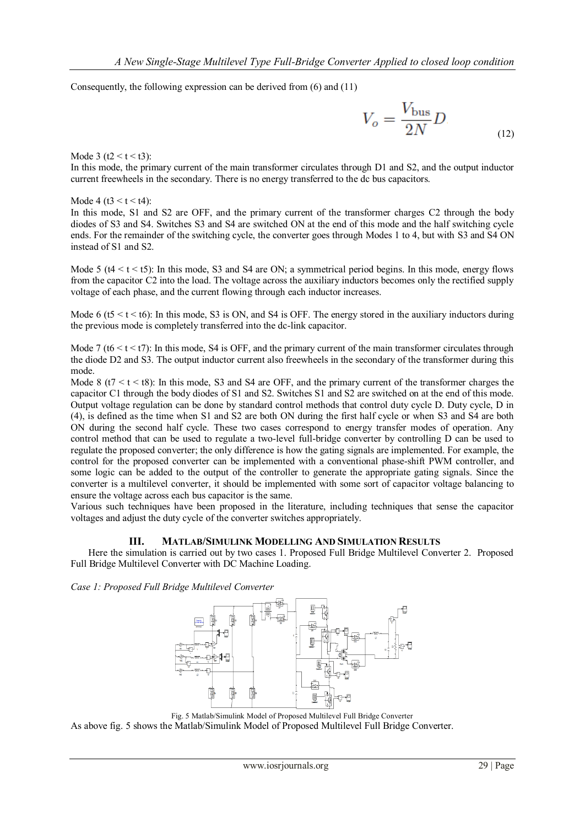Consequently, the following expression can be derived from (6) and (11)

$$
V_o = \frac{V_{\text{bus}}}{2N}D
$$
 (12)

Mode 3 ( $t2 < t < t3$ ):

In this mode, the primary current of the main transformer circulates through D1 and S2, and the output inductor current freewheels in the secondary. There is no energy transferred to the dc bus capacitors.

Mode 4 ( $t3 < t < t4$ ):

In this mode, S1 and S2 are OFF, and the primary current of the transformer charges C2 through the body diodes of S3 and S4. Switches S3 and S4 are switched ON at the end of this mode and the half switching cycle ends. For the remainder of the switching cycle, the converter goes through Modes 1 to 4, but with S3 and S4 ON instead of S1 and S2.

Mode 5 ( $t$  <  $t$  < t < t5): In this mode, S3 and S4 are ON; a symmetrical period begins. In this mode, energy flows from the capacitor C2 into the load. The voltage across the auxiliary inductors becomes only the rectified supply voltage of each phase, and the current flowing through each inductor increases.

Mode 6 (t5  $\lt t \lt t$  t6): In this mode, S3 is ON, and S4 is OFF. The energy stored in the auxiliary inductors during the previous mode is completely transferred into the dc-link capacitor.

Mode 7 (t6  $\lt t \lt t$  7): In this mode, S4 is OFF, and the primary current of the main transformer circulates through the diode D2 and S3. The output inductor current also freewheels in the secondary of the transformer during this mode.

Mode 8 ( $t$  <  $t$  <  $t$  8): In this mode, S3 and S4 are OFF, and the primary current of the transformer charges the capacitor C1 through the body diodes of S1 and S2. Switches S1 and S2 are switched on at the end of this mode. Output voltage regulation can be done by standard control methods that control duty cycle D. Duty cycle, D in (4), is defined as the time when S1 and S2 are both ON during the first half cycle or when S3 and S4 are both ON during the second half cycle. These two cases correspond to energy transfer modes of operation. Any control method that can be used to regulate a two-level full-bridge converter by controlling D can be used to regulate the proposed converter; the only difference is how the gating signals are implemented. For example, the control for the proposed converter can be implemented with a conventional phase-shift PWM controller, and some logic can be added to the output of the controller to generate the appropriate gating signals. Since the converter is a multilevel converter, it should be implemented with some sort of capacitor voltage balancing to ensure the voltage across each bus capacitor is the same.

Various such techniques have been proposed in the literature, including techniques that sense the capacitor voltages and adjust the duty cycle of the converter switches appropriately.

# **III. MATLAB/SIMULINK MODELLING AND SIMULATION RESULTS**

Here the simulation is carried out by two cases 1. Proposed Full Bridge Multilevel Converter 2. Proposed Full Bridge Multilevel Converter with DC Machine Loading.

*Case 1: Proposed Full Bridge Multilevel Converter*



Fig. 5 Matlab/Simulink Model of Proposed Multilevel Full Bridge Converter

As above fig. 5 shows the Matlab/Simulink Model of Proposed Multilevel Full Bridge Converter.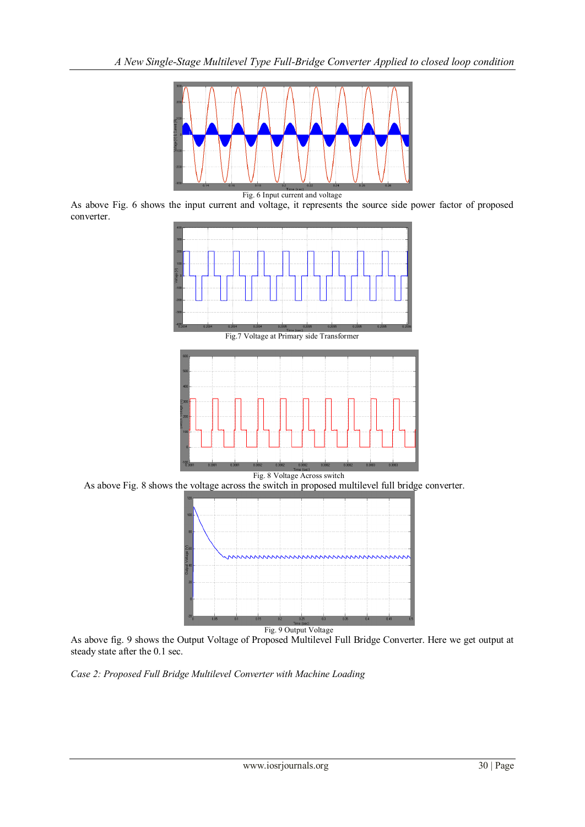

As above Fig. 6 shows the input current and voltage, it represents the source side power factor of proposed converter.





Fig. 8 Voltage Across switch

As above Fig. 8 shows the voltage across the switch in proposed multilevel full bridge converter.



As above fig. 9 shows the Output Voltage of Proposed Multilevel Full Bridge Converter. Here we get output at steady state after the 0.1 sec.

*Case 2: Proposed Full Bridge Multilevel Converter with Machine Loading*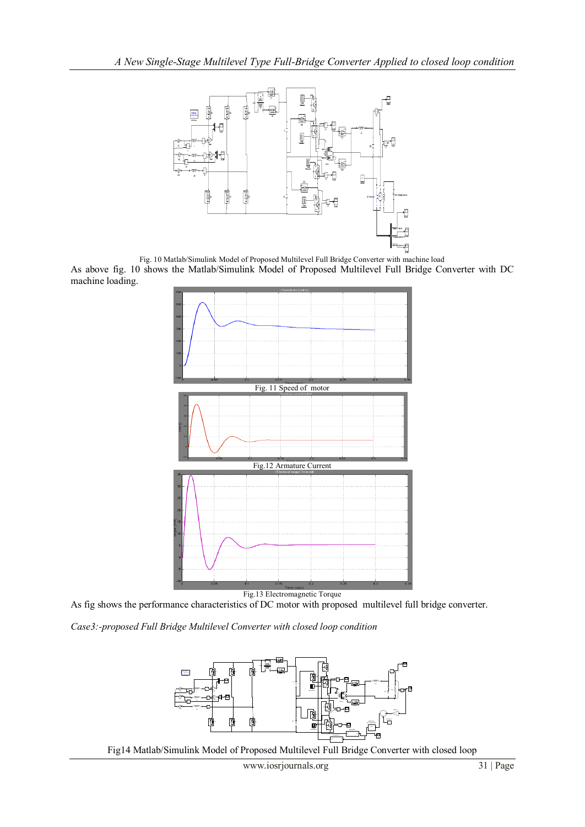

Fig. 10 Matlab/Simulink Model of Proposed Multilevel Full Bridge Converter with machine load As above fig. 10 shows the Matlab/Simulink Model of Proposed Multilevel Full Bridge Converter with DC machine loading.



As fig shows the performance characteristics of DC motor with proposed multilevel full bridge converter.

*Case3:-proposed Full Bridge Multilevel Converter with closed loop condition*



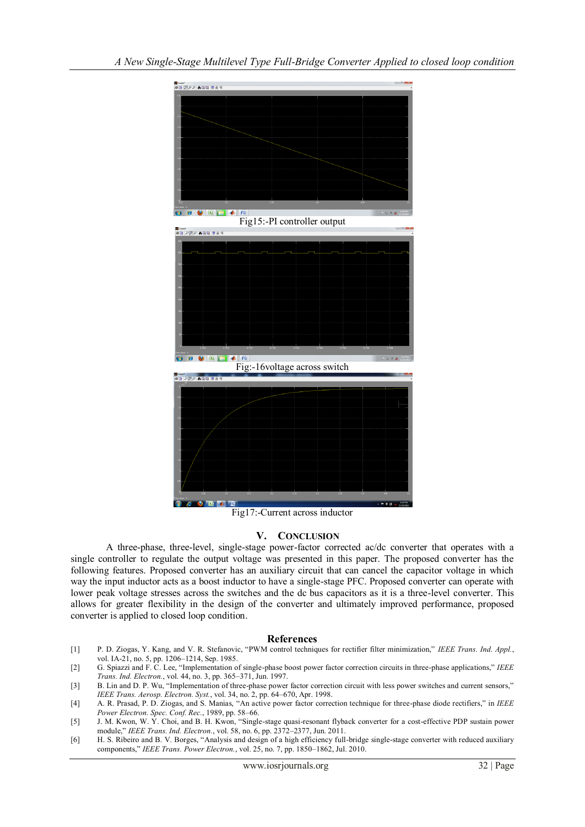

Fig17:-Current across inductor

# **V. CONCLUSION**

A three-phase, three-level, single-stage power-factor corrected ac/dc converter that operates with a single controller to regulate the output voltage was presented in this paper. The proposed converter has the following features. Proposed converter has an auxiliary circuit that can cancel the capacitor voltage in which way the input inductor acts as a boost inductor to have a single-stage PFC. Proposed converter can operate with lower peak voltage stresses across the switches and the dc bus capacitors as it is a three-level converter. This allows for greater flexibility in the design of the converter and ultimately improved performance, proposed converter is applied to closed loop condition.

## **References**

- [1] P. D. Ziogas, Y. Kang, and V. R. Stefanovic, "PWM control techniques for rectifier filter minimization," *IEEE Trans. Ind. Appl.*, vol. IA-21, no. 5, pp. 1206–1214, Sep. 1985.
- [2] G. Spiazzi and F. C. Lee, "Implementation of single-phase boost power factor correction circuits in three-phase applications," *IEEE Trans. Ind. Electron.*, vol. 44, no. 3, pp. 365–371, Jun. 1997.
- [3] B. Lin and D. P. Wu, "Implementation of three-phase power factor correction circuit with less power switches and current sensors," *IEEE Trans. Aerosp. Electron. Syst.*, vol. 34, no. 2, pp. 64–670, Apr. 1998.
- [4] A. R. Prasad, P. D. Ziogas, and S. Manias, "An active power factor correction technique for three-phase diode rectifiers," in *IEEE Power Electron. Spec. Conf. Rec.*, 1989, pp. 58–66.
- [5] J. M. Kwon, W. Y. Choi, and B. H. Kwon, "Single-stage quasi-resonant flyback converter for a cost-effective PDP sustain power module," *IEEE Trans. Ind. Electron.*, vol. 58, no. 6, pp. 2372–2377, Jun. 2011.
- [6] H. S. Ribeiro and B. V. Borges, "Analysis and design of a high efficiency full-bridge single-stage converter with reduced auxiliary components," *IEEE Trans. Power Electron.*, vol. 25, no. 7, pp. 1850–1862, Jul. 2010.